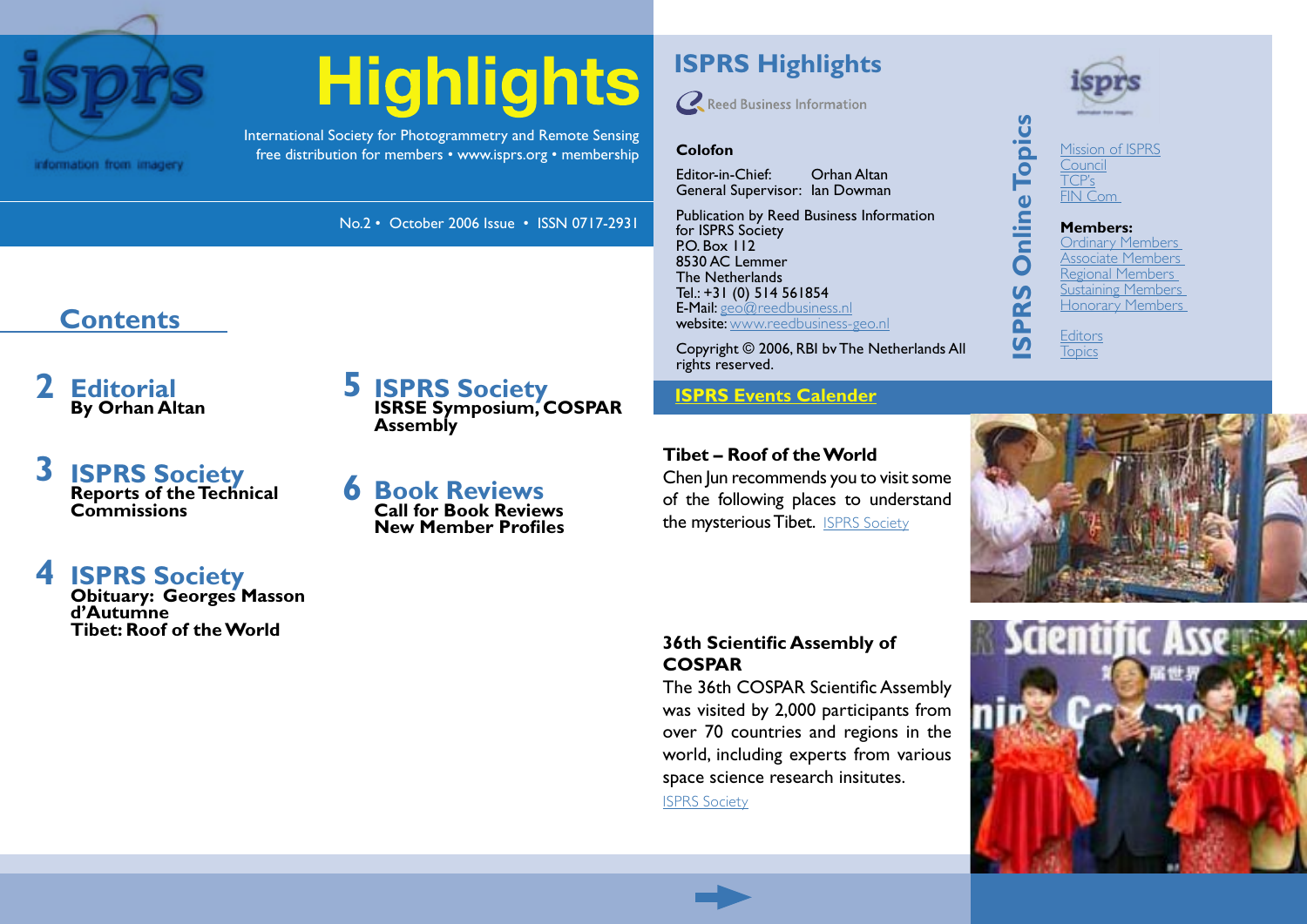

# **Highlights**

No.2 • October 2006 Issue • ISSN 0717-2931

**ISRSE Symposium, COSPAR** 

International Society for Photogrammetry and Remote Sensing free distribution for members • [www.isprs.org](http://www.isprs.org) • [membership](http://www.isprs.org/members/benefits.html) **Colofon**

**[6](#page-5-0)**

**Assembly**

**[Book Reviews](#page-5-0) Call for Book Reviews New Member Profiles** **ISPRS Highlights**

**Q** Reed Business Information

Editor-in-Chief: Orhan Altan General Supervisor: Ian Dowman

Publication by Reed Business Information for ISPRS Society PO. Box 112 8530 AC Lemmer The Netherlands Tel.: +31 (0) 514 561854 E-Mail: [geo@reedbusiness.nl](mailto:geo@reedbusiness.nl) website: [www.reedbusiness-geo.nl](http://www.reedbusiness-geo.nl)

Copyright © 2006, RBI bv The Netherlands All rights reserved.

**ISPRS Society**<br>**[ISPRS Events Calender](http://www.isprs.org/calendar.html)** 

### **Tibet – Roof of the World**

Chen Jun recommends you to visit some of the following places to understand the mysterious Tibet. [ISPRS Society](#page-3-0)



**[Editors](http://www.isprs.org/structure/editors.html) [Topics](http://www.isprs.org/table.html)** 

**ISPRS Online Topics**

PRS

 $\overline{v}$ 

**Online Topics** 

**Members:** [Ordinary Members](http://www.isprs.org/members/ordinary.html) [Associate Members](http://www.isprs.org/members/associate.html) [Regional Members](http://www.isprs.org/members/regional.html) [Sustaining Members](http://www.isprs.org/members/sustaining.html) [Honorary Members](http://www.isprs.org/members/honorary.html)

### **36th Scientific Assembly of COSPAR**

The 36th COSPAR Scientific Assembly was visited by 2,000 participants from over 70 countries and regions in the world, including experts from various space science research insitutes.

[ISPRS Society](#page-4-0)



### **Contents**

- **[Editorial](#page-1-0) By Orhan Altan 2**
- **[ISPRS Society](#page-2-0) Reports of the Technical Commissions [3](#page-2-0)**

### **[ISPRS Society](#page-3-0) Obituary: Georges Masson [4](#page-3-0)**

**d'Autumne Tibet: Roof of the World**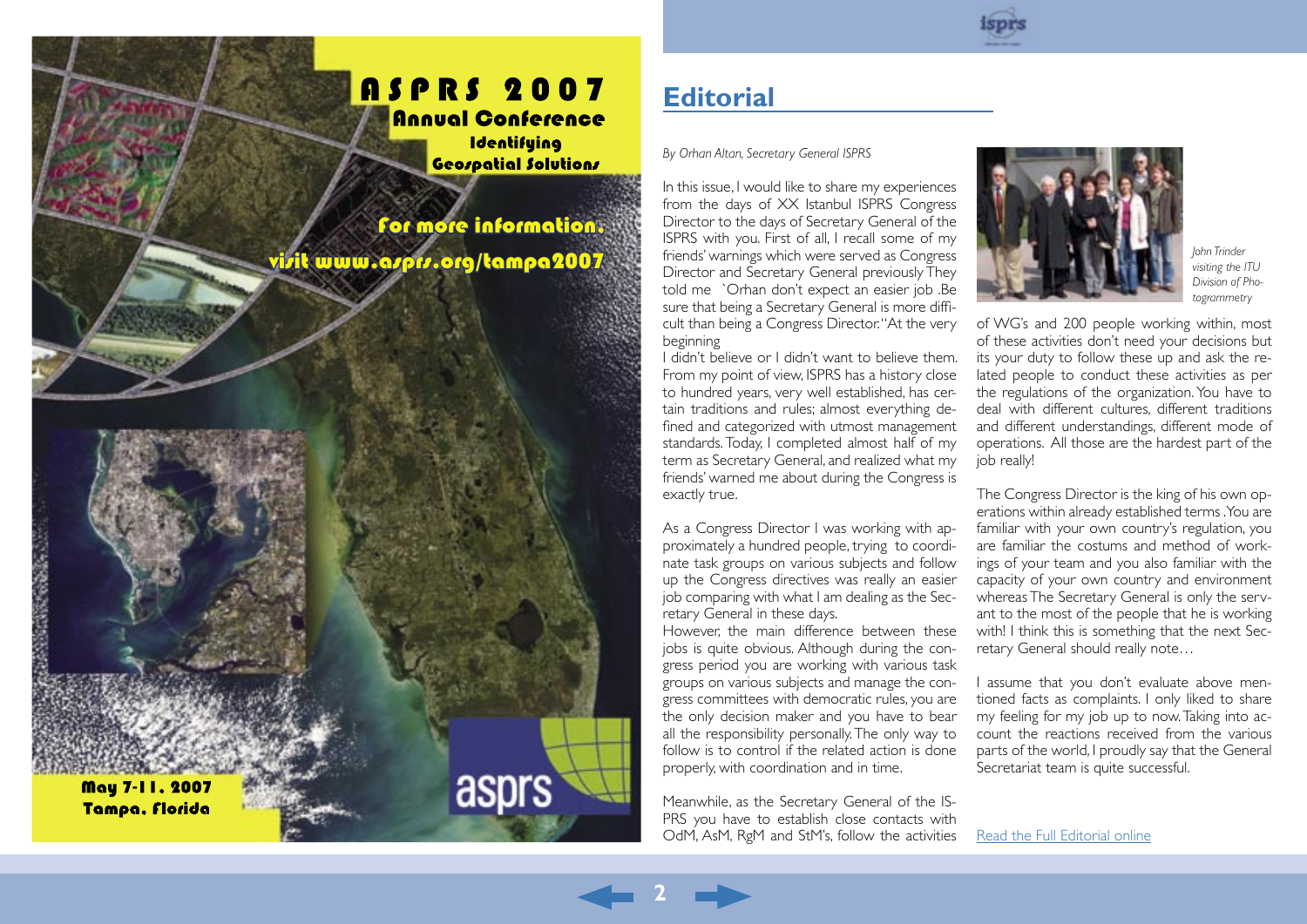### <span id="page-1-0"></span>**ASPRS 2007** Annual Conference

**Identifuing** Geospatial Solutions

asprs

For more information, www.asprs.org/tampa2007

May 7-11, 2007 Tampa, Florida

「高速の感覚が

# **Editorial**

*By Orhan Altan, Secretary General ISPRS*

In this issue, I would like to share my experiences from the days of XX Istanbul ISPRS Congress Director to the days of Secretary General of the ISPRS with you. First of all, I recall some of my friends' warnings which were served as Congress Director and Secretary General previously They told me `Orhan don't expect an easier job .Be sure that being a Secretary General is more difficult than being a Congress Director. "At the very beginning

I didn't believe or I didn't want to believe them. From my point of view, ISPRS has a history close to hundred years, very well established, has certain traditions and rules; almost everything defined and categorized with utmost management standards. Today, I completed almost half of my term as Secretary General, and realized what my friends' warned me about during the Congress is exactly true.

As a Congress Director I was working with approximately a hundred people, trying to coordinate task groups on various subjects and follow up the Congress directives was really an easier job comparing with what I am dealing as the Secretary General in these days.

However, the main difference between these jobs is quite obvious. Although during the congress period you are working with various task groups on various subjects and manage the congress committees with democratic rules, you are the only decision maker and you have to bear all the responsibility personally. The only way to follow is to control if the related action is done properly, with coordination and in time.

Meanwhile, as the Secretary General of the IS-PRS you have to establish close contacts with OdM, AsM, RgM and StM's, follow the activities

**2**

*John Trinder visiting the ITU Division of Photogrammetry* 

of WG's and 200 people working within, most of these activities don't need your decisions but its your duty to follow these up and ask the related people to conduct these activities as per the regulations of the organization. You have to deal with different cultures, different traditions and different understandings, different mode of operations. All those are the hardest part of the job really!

The Congress Director is the king of his own operations within already established terms .You are familiar with your own country's regulation, you are familiar the costums and method of workings of your team and you also familiar with the capacity of your own country and environment whereas The Secretary General is only the servant to the most of the people that he is working with! I think this is something that the next Secretary General should really note…

I assume that you don't evaluate above mentioned facts as complaints. I only liked to share my feeling for my job up to now. Taking into account the reactions received from the various parts of the world, I proudly say that the General Secretariat team is quite successful.

[Read the Full Editorial online](http://www.isprs.org/publications/highlights/highlights1006/editorial.html)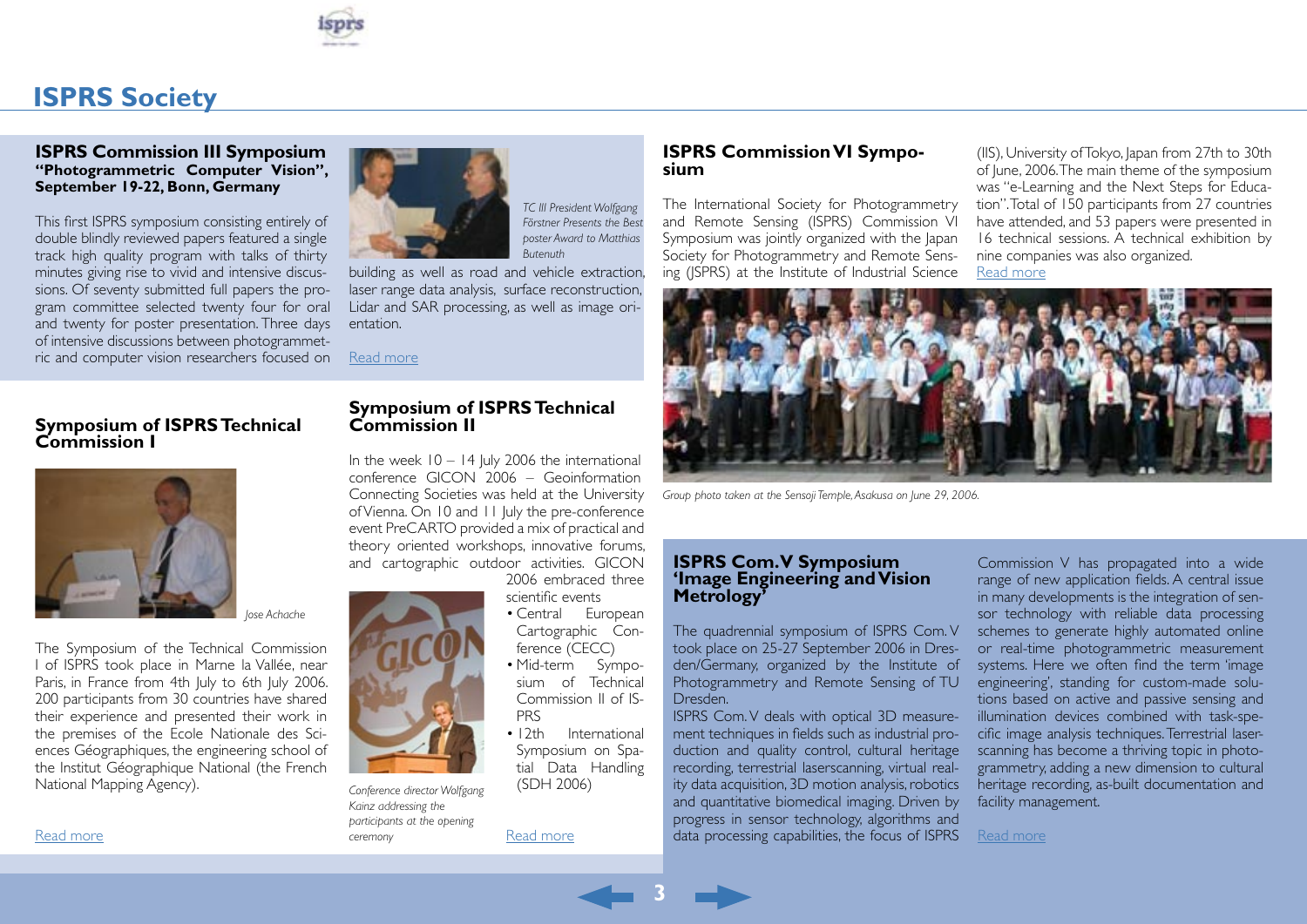

### <span id="page-2-0"></span>**ISPRS Society**

### **ISPRS Commission III Symposium "Photogrammetric Computer Vision", September 19-22, Bonn, Germany**

This first ISPRS symposium consisting entirely of double blindly reviewed papers featured a single track high quality program with talks of thirty minutes giving rise to vivid and intensive discussions. Of seventy submitted full papers the program committee selected twenty four for oral and twenty for poster presentation. Three days of intensive discussions between photogrammetric and computer vision researchers focused on



*TC III President Wolfgang Förstner Presents the Best poster Award to Matthias Butenuth*

building as well as road and vehicle extraction, laser range data analysis, surface reconstruction, Lidar and SAR processing, as well as image orientation.

**Symposium of ISPRS Technical** 

In the week  $10 - 14$  July 2006 the international conference GICON 2006 – Geoinformation Connecting Societies was held at the University of Vienna. On 10 and 11 July the pre-conference event PreCARTO provided a mix of practical and theory oriented workshops, innovative forums, and cartographic outdoor activities. GICON

[Read more](http://www.isprs.org/publications/highlights/highlights1006/tc-3.html)

**Commission II**

### **Symposium of ISPRS Technical Commission I**



*Jose Achache*

The Symposium of the Technical Commission I of ISPRS took place in Marne la Vallée, near Paris, in France from 4th July to 6th July 2006. 200 participants from 30 countries have shared their experience and presented their work in the premises of the Ecole Nationale des Sciences Géographiques, the engineering school of the Institut Géographique National (the French National Mapping Agency).



*Conference director Wolfgang Kainz addressing the participants at the opening ceremony*

2006 embraced three scientific events

- Central European Cartographic Conference (CECC)
- Mid-term Symposium of Technical Commission II of IS-PRS
- 12th International Symposium on Spatial Data Handling (SDH 2006)

[Read more](http://www.isprs.org/publications/highlights/highlights1006/tc-2.html)

### **ISPRS Commission VI Sympo- sium**

The International Society for Photogrammetry and Remote Sensing (ISPRS) Commission VI Symposium was jointly organized with the Japan Society for Photogrammetry and Remote Sensing (JSPRS) at the Institute of Industrial Science

(IIS), University of Tokyo, Japan from 27th to 30th of June, 2006. The main theme of the symposium was "e-Learning and the Next Steps for Education". Total of 150 participants from 27 countries have attended, and 53 papers were presented in 16 technical sessions. A technical exhibition by nine companies was also organized. [Read more](http://www.isprs.org/publications/highlights/highlights1006/isprs-vi.html)



*Group photo taken at the Sensoji Temple, Asakusa on June 29, 2006.*

### **ISPRS Com. V Symposium 'Image Engineering and Vision Metrology'**

The quadrennial symposium of ISPRS Com. V took place on 25-27 September 2006 in Dresden/Germany, organized by the Institute of Photogrammetry and Remote Sensing of TU Dresden.

ISPRS Com. V deals with optical 3D measurement techniques in fields such as industrial production and quality control, cultural heritage recording, terrestrial laserscanning, virtual reality data acquisition, 3D motion analysis, robotics and quantitative biomedical imaging. Driven by progress in sensor technology, algorithms and data processing capabilities, the focus of ISPRS

Commission V has propagated into a wide range of new application fields. A central issue in many developments is the integration of sensor technology with reliable data processing schemes to generate highly automated online or real-time photogrammetric measurement systems. Here we often find the term 'image engineering', standing for custom-made solutions based on active and passive sensing and illumination devices combined with task-specific image analysis techniques. Terrestrial laserscanning has become a thriving topic in photogrammetry, adding a new dimension to cultural heritage recording, as-built documentation and facility management.

[Read more](http://www.isprs.org/publications/highlights/highlights1006/tc-5.html)

[Read more](http://www.isprs.org/publications/highlights/highlights1006/tc-1.html)

**3**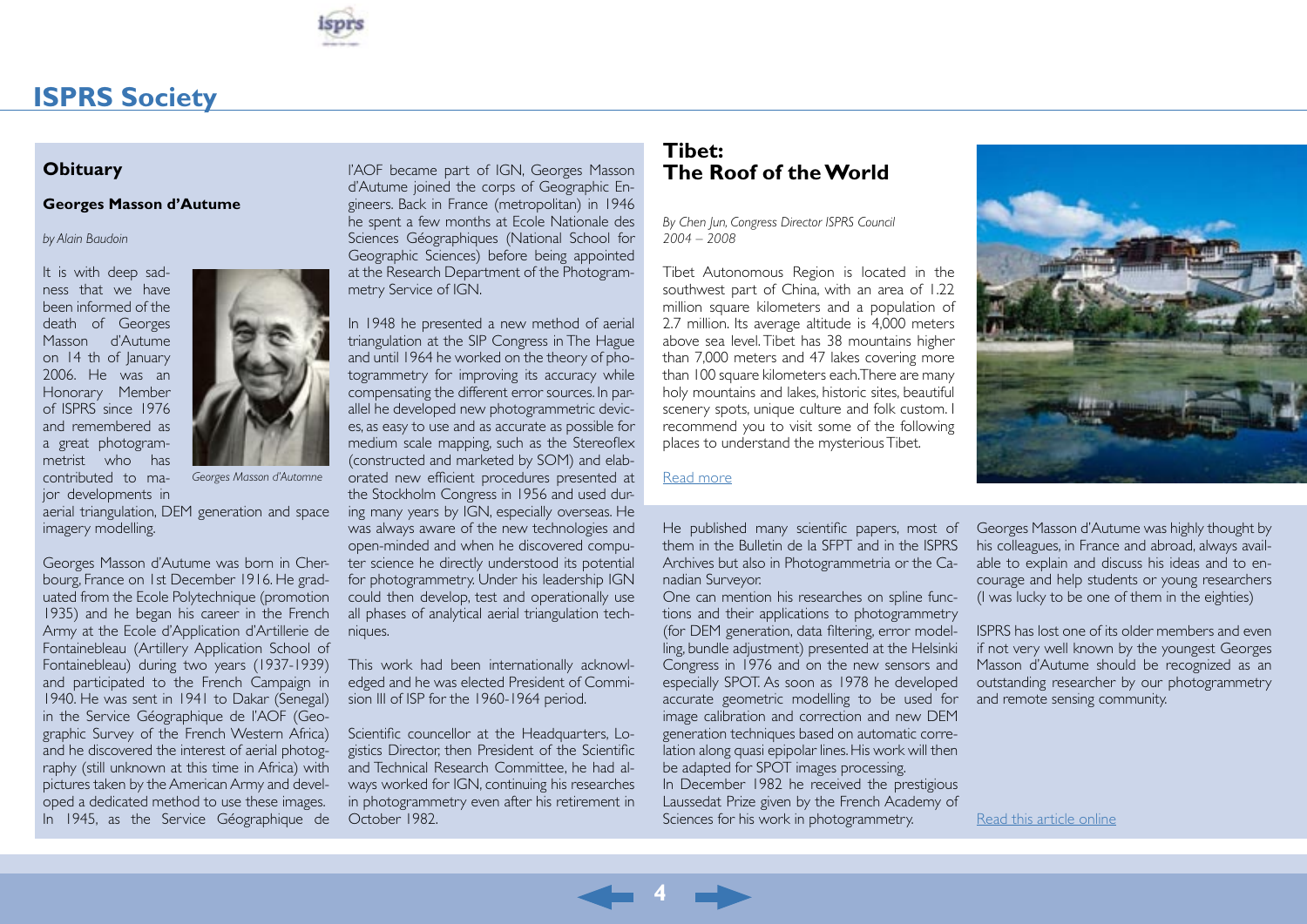

### <span id="page-3-0"></span>**ISPRS Society**

### **Obituary**

### **Georges Masson d'Autume**

### *by Alain Baudoin*

It is with deep sadness that we have been informed of the death of Georges Masson d'Autume on 14 th of January 2006. He was an Honorary Member of ISPRS since 1976 and remembered as a great photogrammetrist who has contributed to major developments in



*Georges Masson d'Automne*

aerial triangulation, DEM generation and space imagery modelling.

Georges Masson d'Autume was born in Cherbourg, France on 1st December 1916. He graduated from the Ecole Polytechnique (promotion 1935) and he began his career in the French Army at the Ecole d'Application d'Artillerie de Fontainebleau (Artillery Application School of Fontainebleau) during two years (1937-1939) and participated to the French Campaign in 1940. He was sent in 1941 to Dakar (Senegal) in the Service Géographique de l'AOF (Geographic Survey of the French Western Africa) and he discovered the interest of aerial photography (still unknown at this time in Africa) with pictures taken by the American Army and developed a dedicated method to use these images. In 1945, as the Service Géographique de l'AOF became part of IGN, Georges Masson d'Autume joined the corps of Geographic Engineers. Back in France (metropolitan) in 1946 he spent a few months at Ecole Nationale des Sciences Géographiques (National School for Geographic Sciences) before being appointed at the Research Department of the Photogrammetry Service of IGN.

In 1948 he presented a new method of aerial triangulation at the SIP Congress in The Hague and until 1964 he worked on the theory of photogrammetry for improving its accuracy while compensating the different error sources. In parallel he developed new photogrammetric devices, as easy to use and as accurate as possible for medium scale mapping, such as the Stereoflex (constructed and marketed by SOM) and elaborated new efficient procedures presented at the Stockholm Congress in 1956 and used during many years by IGN, especially overseas. He was always aware of the new technologies and open-minded and when he discovered computer science he directly understood its potential for photogrammetry. Under his leadership IGN could then develop, test and operationally use all phases of analytical aerial triangulation techniques.

This work had been internationally acknowledged and he was elected President of Commision III of ISP for the 1960-1964 period.

Scientific councellor at the Headquarters, Logistics Director, then President of the Scientific and Technical Research Committee, he had always worked for IGN, continuing his researches in photogrammetry even after his retirement in October 1982.

### **Tibet: The Roof of the World**

*By Chen Jun, Congress Director ISPRS Council 2004 – 2008*

Tibet Autonomous Region is located in the southwest part of China, with an area of 1.22 million square kilometers and a population of 2.7 million. Its average altitude is 4,000 meters above sea level. Tibet has 38 mountains higher than 7,000 meters and 47 lakes covering more than 100 square kilometers each. There are many holy mountains and lakes, historic sites, beautiful scenery spots, unique culture and folk custom. I recommend you to visit some of the following places to understand the mysterious Tibet.

#### [Read more](http://www.isprs.org/publications/highlights/highlights1006/tibet.html)

**4**

He published many scientific papers, most of them in the Bulletin de la SFPT and in the ISPRS Archives but also in Photogrammetria or the Canadian Surveyor.

One can mention his researches on spline functions and their applications to photogrammetry (for DEM generation, data filtering, error modelling, bundle adjustment) presented at the Helsinki Congress in 1976 and on the new sensors and especially SPOT. As soon as 1978 he developed accurate geometric modelling to be used for image calibration and correction and new DEM generation techniques based on automatic correlation along quasi epipolar lines. His work will then be adapted for SPOT images processing. In December 1982 he received the prestigious Laussedat Prize given by the French Academy of Sciences for his work in photogrammetry.



Georges Masson d'Autume was highly thought by his colleagues, in France and abroad, always available to explain and discuss his ideas and to encourage and help students or young researchers (I was lucky to be one of them in the eighties)

ISPRS has lost one of its older members and even if not very well known by the youngest Georges Masson d'Autume should be recognized as an outstanding researcher by our photogrammetry and remote sensing community.

[Read this article online](http://www.isprs.org/publications/highlights/highlights1006/obit-g-masson-d-autume.html)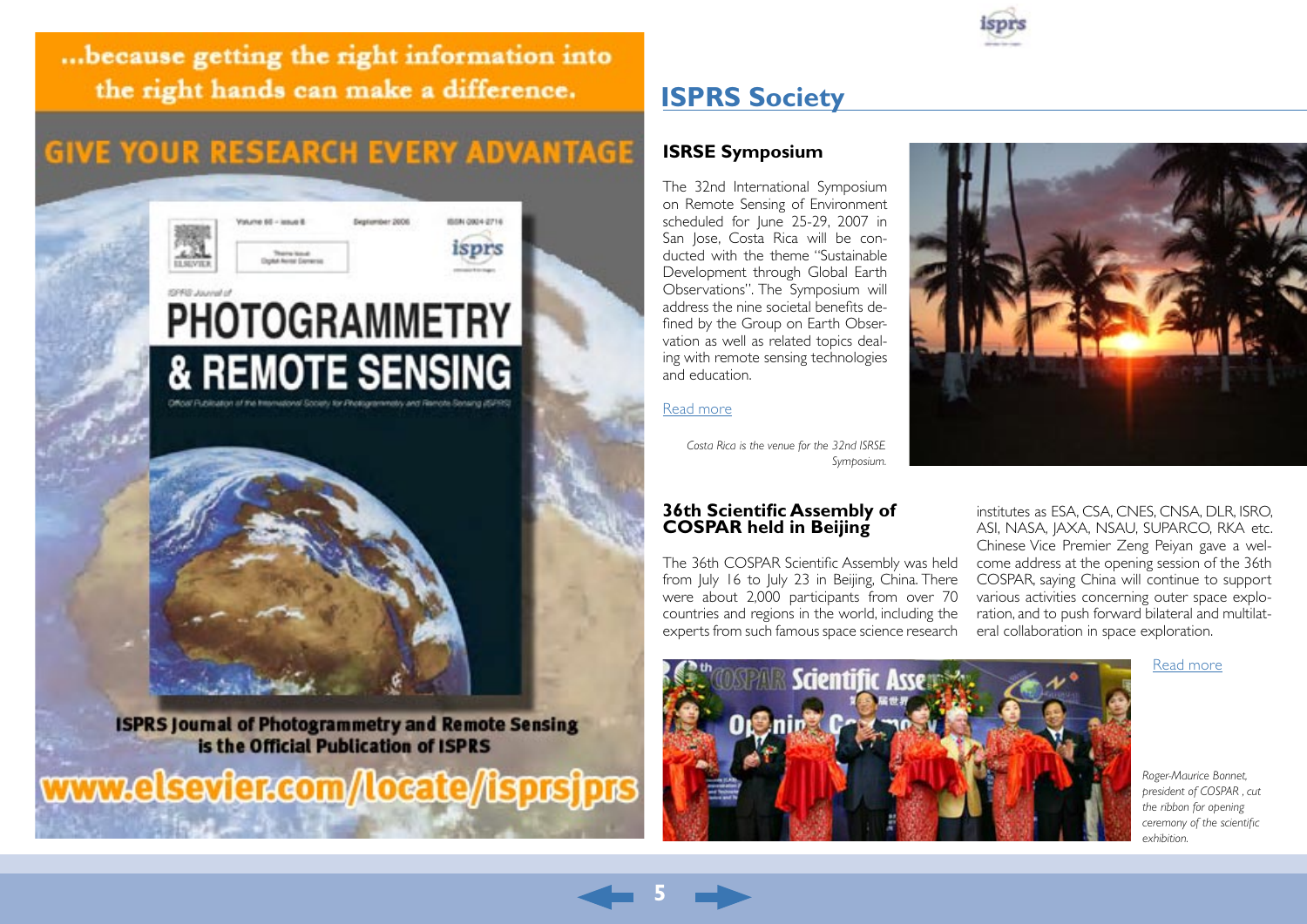<span id="page-4-0"></span>... because getting the right information into the right hands can make a difference.

## **GIVE YOUR RESEARCH EVERY ADVANTAGE**



**ISPRS Journal of Photogrammetry and Remote Sensing** is the Official Publication of ISPRS

www.elsevier.com/locate/isprsjprs

### **ISPRS Society**

### **ISRSE Symposium**

The 32nd International Symposium on Remote Sensing of Environment scheduled for June 25-29, 2007 in San Jose, Costa Rica will be conducted with the theme "Sustainable Development through Global Earth Observations". The Symposium will address the nine societal benefits defined by the Group on Earth Observation as well as related topics dealing with remote sensing technologies and education.

### [Read more](http://www.isprs.org/publications/highlights/highlights1006/isrse-symposium.html)

**5**

*Costa Rica is the venue for the 32nd ISRSE Symposium.*

### **36th Scientific Assembly of COSPAR held in Beijing**

The 36th COSPAR Scientific Assembly was held from July 16 to July 23 in Beijing, China. There were about 2,000 participants from over 70 countries and regions in the world, including the experts from such famous space science research



institutes as ESA, CSA, CNES, CNSA, DLR, ISRO, ASI, NASA, JAXA, NSAU, SUPARCO, RKA etc. Chinese Vice Premier Zeng Peiyan gave a welcome address at the opening session of the 36th COSPAR, saying China will continue to support various activities concerning outer space exploration, and to push forward bilateral and multilateral collaboration in space exploration.

[Read more](http://www.isprs.org/publications/highlights/highlights1006/cospar.html)



*Roger-Maurice Bonnet, president of COSPAR , cut the ribbon for opening ceremony of the scientific exhibition.*